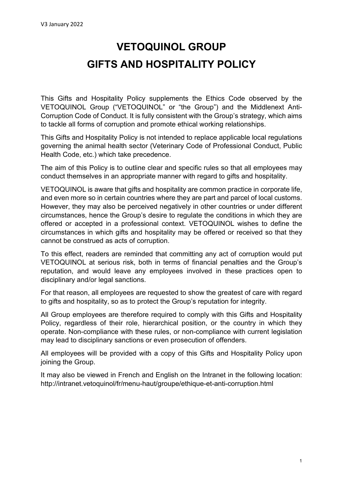# **VETOQUINOL GROUP GIFTS AND HOSPITALITY POLICY**

This Gifts and Hospitality Policy supplements the Ethics Code observed by the VETOQUINOL Group ("VETOQUINOL" or "the Group") and the Middlenext Anti-Corruption Code of Conduct. It is fully consistent with the Group's strategy, which aims to tackle all forms of corruption and promote ethical working relationships.

This Gifts and Hospitality Policy is not intended to replace applicable local regulations governing the animal health sector (Veterinary Code of Professional Conduct, Public Health Code, etc.) which take precedence.

The aim of this Policy is to outline clear and specific rules so that all employees may conduct themselves in an appropriate manner with regard to gifts and hospitality.

VETOQUINOL is aware that gifts and hospitality are common practice in corporate life, and even more so in certain countries where they are part and parcel of local customs. However, they may also be perceived negatively in other countries or under different circumstances, hence the Group's desire to regulate the conditions in which they are offered or accepted in a professional context. VETOQUINOL wishes to define the circumstances in which gifts and hospitality may be offered or received so that they cannot be construed as acts of corruption.

To this effect, readers are reminded that committing any act of corruption would put VETOQUINOL at serious risk, both in terms of financial penalties and the Group's reputation, and would leave any employees involved in these practices open to disciplinary and/or legal sanctions.

For that reason, all employees are requested to show the greatest of care with regard to gifts and hospitality, so as to protect the Group's reputation for integrity.

All Group employees are therefore required to comply with this Gifts and Hospitality Policy, regardless of their role, hierarchical position, or the country in which they operate. Non-compliance with these rules, or non-compliance with current legislation may lead to disciplinary sanctions or even prosecution of offenders.

All employees will be provided with a copy of this Gifts and Hospitality Policy upon joining the Group.

It may also be viewed in French and English on the Intranet in the following location: http://intranet.vetoquinol/fr/menu-haut/groupe/ethique-et-anti-corruption.html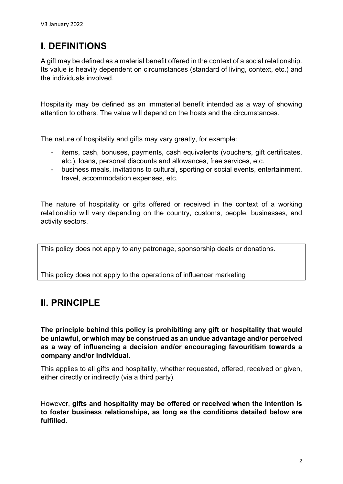## **I. DEFINITIONS**

A gift may be defined as a material benefit offered in the context of a social relationship. Its value is heavily dependent on circumstances (standard of living, context, etc.) and the individuals involved.

Hospitality may be defined as an immaterial benefit intended as a way of showing attention to others. The value will depend on the hosts and the circumstances.

The nature of hospitality and gifts may vary greatly, for example:

- items, cash, bonuses, payments, cash equivalents (vouchers, gift certificates, etc.), loans, personal discounts and allowances, free services, etc.
- business meals, invitations to cultural, sporting or social events, entertainment, travel, accommodation expenses, etc.

The nature of hospitality or gifts offered or received in the context of a working relationship will vary depending on the country, customs, people, businesses, and activity sectors.

This policy does not apply to any patronage, sponsorship deals or donations.

This policy does not apply to the operations of influencer marketing

### **II. PRINCIPLE**

**The principle behind this policy is prohibiting any gift or hospitality that would be unlawful, or which may be construed as an undue advantage and/or perceived as a way of influencing a decision and/or encouraging favouritism towards a company and/or individual.** 

This applies to all gifts and hospitality, whether requested, offered, received or given, either directly or indirectly (via a third party).

However, **gifts and hospitality may be offered or received when the intention is to foster business relationships, as long as the conditions detailed below are fulfilled**.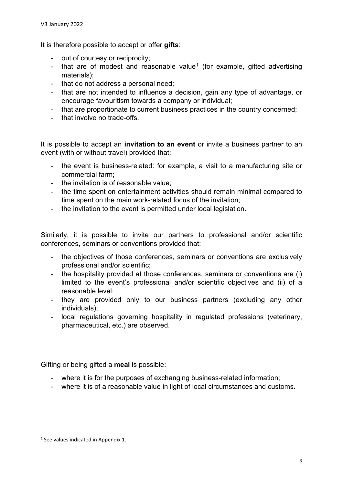It is therefore possible to accept or offer **gifts**:

- out of courtesy or reciprocity;
- that are of modest and reasonable value<sup>[1](#page-2-0)</sup> (for example, gifted advertising materials);
- that do not address a personal need;
- that are not intended to influence a decision, gain any type of advantage, or encourage favouritism towards a company or individual;
- that are proportionate to current business practices in the country concerned;
- that involve no trade-offs.

It is possible to accept an **invitation to an event** or invite a business partner to an event (with or without travel) provided that:

- the event is business-related: for example, a visit to a manufacturing site or commercial farm;
- the invitation is of reasonable value;
- the time spent on entertainment activities should remain minimal compared to time spent on the main work-related focus of the invitation;
- the invitation to the event is permitted under local legislation.

Similarly, it is possible to invite our partners to professional and/or scientific conferences, seminars or conventions provided that:

- the objectives of those conferences, seminars or conventions are exclusively professional and/or scientific;
- the hospitality provided at those conferences, seminars or conventions are (i) limited to the event's professional and/or scientific objectives and (ii) of a reasonable level;
- they are provided only to our business partners (excluding any other individuals);
- local regulations governing hospitality in regulated professions (veterinary, pharmaceutical, etc.) are observed.

Gifting or being gifted a **meal** is possible:

- where it is for the purposes of exchanging business-related information;
- where it is of a reasonable value in light of local circumstances and customs.

<span id="page-2-0"></span><sup>&</sup>lt;sup>1</sup> See values indicated in Appendix 1.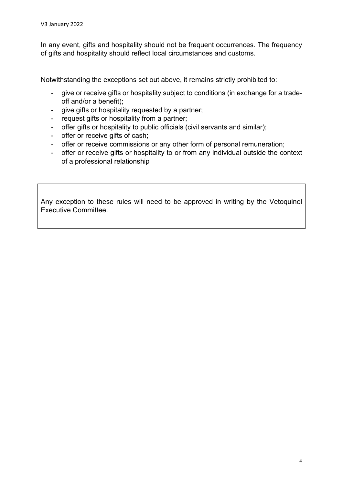In any event, gifts and hospitality should not be frequent occurrences. The frequency of gifts and hospitality should reflect local circumstances and customs.

Notwithstanding the exceptions set out above, it remains strictly prohibited to:

- give or receive gifts or hospitality subject to conditions (in exchange for a tradeoff and/or a benefit);
- give gifts or hospitality requested by a partner;
- request gifts or hospitality from a partner;
- offer gifts or hospitality to public officials (civil servants and similar);
- offer or receive gifts of cash:
- offer or receive commissions or any other form of personal remuneration;
- offer or receive gifts or hospitality to or from any individual outside the context of a professional relationship

Any exception to these rules will need to be approved in writing by the Vetoquinol Executive Committee.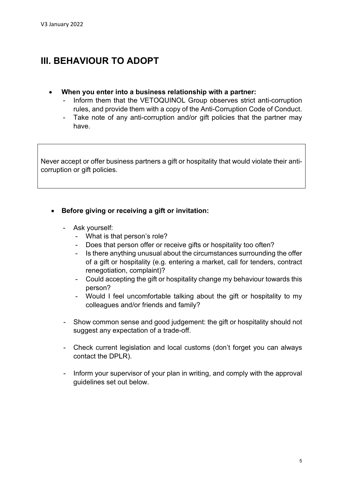### **III. BEHAVIOUR TO ADOPT**

- **When you enter into a business relationship with a partner:** 
	- Inform them that the VETOQUINOL Group observes strict anti-corruption rules, and provide them with a copy of the Anti-Corruption Code of Conduct.
	- Take note of any anti-corruption and/or gift policies that the partner may have.

Never accept or offer business partners a gift or hospitality that would violate their anticorruption or gift policies.

- **Before giving or receiving a gift or invitation:** 
	- Ask yourself:
		- What is that person's role?
		- Does that person offer or receive gifts or hospitality too often?
		- Is there anything unusual about the circumstances surrounding the offer of a gift or hospitality (e.g. entering a market, call for tenders, contract renegotiation, complaint)?
		- Could accepting the gift or hospitality change my behaviour towards this person?
		- Would I feel uncomfortable talking about the gift or hospitality to my colleagues and/or friends and family?
	- Show common sense and good judgement: the gift or hospitality should not suggest any expectation of a trade-off.
	- Check current legislation and local customs (don't forget you can always contact the DPLR).
	- Inform your supervisor of your plan in writing, and comply with the approval guidelines set out below.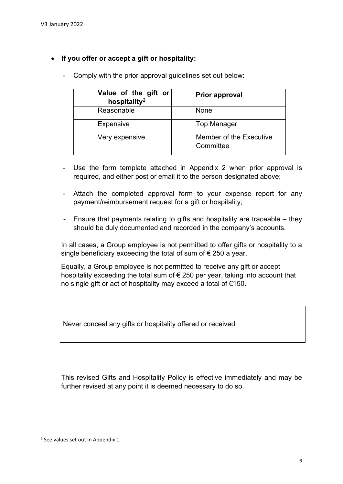#### • **If you offer or accept a gift or hospitality:**

| Value of the gift or<br>hospitality <sup>2</sup> | <b>Prior approval</b>                |  |
|--------------------------------------------------|--------------------------------------|--|
| Reasonable                                       | None                                 |  |
| <b>Expensive</b>                                 | <b>Top Manager</b>                   |  |
| Very expensive                                   | Member of the Executive<br>Committee |  |

- Comply with the prior approval guidelines set out below:

- Use the form template attached in Appendix 2 when prior approval is required, and either post or email it to the person designated above;
- Attach the completed approval form to your expense report for any payment/reimbursement request for a gift or hospitality;
- Ensure that payments relating to gifts and hospitality are traceable they should be duly documented and recorded in the company's accounts.

In all cases, a Group employee is not permitted to offer gifts or hospitality to a single beneficiary exceeding the total of sum of  $\epsilon$  250 a year.

Equally, a Group employee is not permitted to receive any gift or accept hospitality exceeding the total sum of € 250 per year, taking into account that no single gift or act of hospitality may exceed a total of €150.

Never conceal any gifts or hospitality offered or received

This revised Gifts and Hospitality Policy is effective immediately and may be further revised at any point it is deemed necessary to do so.

<span id="page-5-0"></span><sup>&</sup>lt;sup>2</sup> See values set out in Appendix 1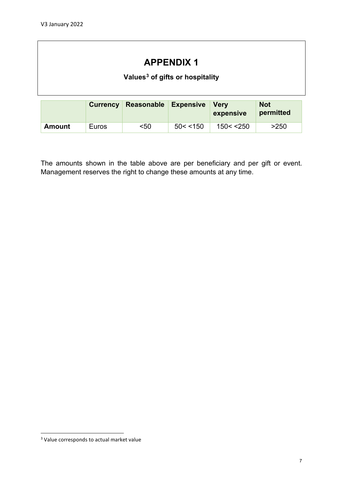### **APPENDIX 1**

#### **Values[3](#page-6-0) of gifts or hospitality**

|        | <b>Currency</b> | Reasonable Expensive |          | <b>Verv</b><br>expensive | <b>Not</b><br>permitted |
|--------|-----------------|----------------------|----------|--------------------------|-------------------------|
| Amount | Euros           | $50$                 | 50 < 150 | 150 < 250                | >250                    |

The amounts shown in the table above are per beneficiary and per gift or event. Management reserves the right to change these amounts at any time.

<span id="page-6-0"></span><sup>&</sup>lt;sup>3</sup> Value corresponds to actual market value